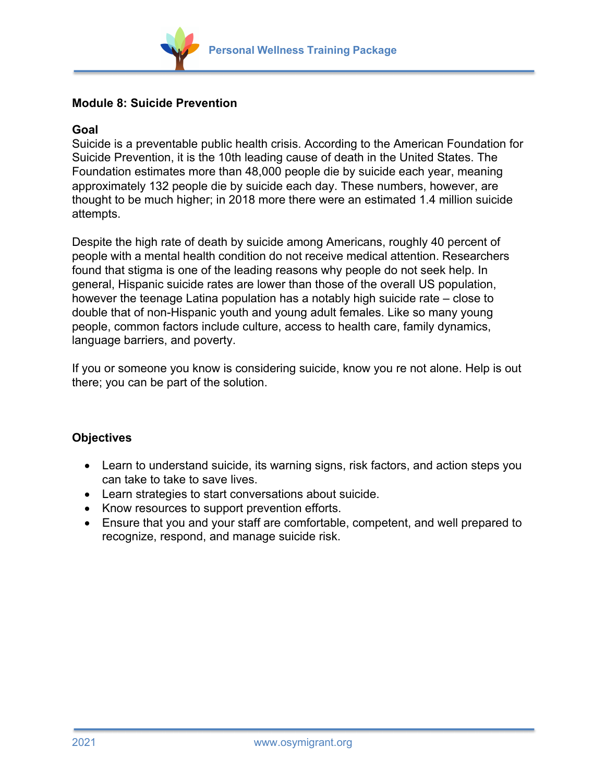

## **Module 8: Suicide Prevention**

## **Goal**

Suicide is a preventable public health crisis. According to the American Foundation for Suicide Prevention, it is the 10th leading cause of death in the United States. The Foundation estimates more than 48,000 people die by suicide each year, meaning approximately 132 people die by suicide each day. These numbers, however, are thought to be much higher; in 2018 more there were an estimated 1.4 million suicide attempts.

Despite the high rate of death by suicide among Americans, roughly 40 percent of people with a mental health condition do not receive medical attention. Researchers found that stigma is one of the leading reasons why people do not seek help. In general, Hispanic suicide rates are lower than those of the overall US population, however the teenage Latina population has a notably high suicide rate – close to double that of non-Hispanic youth and young adult females. Like so many young people, common factors include culture, access to health care, family dynamics, language barriers, and poverty.

If you or someone you know is considering suicide, know you re not alone. Help is out there; you can be part of the solution.

## **Objectives**

- Learn to understand suicide, its warning signs, risk factors, and action steps you can take to take to save lives.
- Learn strategies to start conversations about suicide.
- Know resources to support prevention efforts.
- Ensure that you and your staff are comfortable, competent, and well prepared to recognize, respond, and manage suicide risk.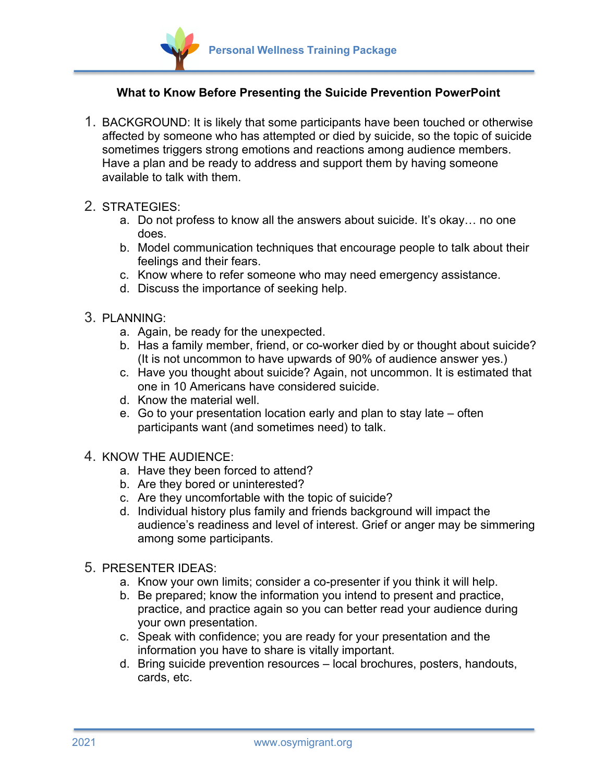

## **What to Know Before Presenting the Suicide Prevention PowerPoint**

- 1. BACKGROUND: It is likely that some participants have been touched or otherwise affected by someone who has attempted or died by suicide, so the topic of suicide sometimes triggers strong emotions and reactions among audience members. Have a plan and be ready to address and support them by having someone available to talk with them.
- 2. STRATEGIES:
	- a. Do not profess to know all the answers about suicide. It's okay… no one does.
	- b. Model communication techniques that encourage people to talk about their feelings and their fears.
	- c. Know where to refer someone who may need emergency assistance.
	- d. Discuss the importance of seeking help.
- 3. PLANNING:
	- a. Again, be ready for the unexpected.
	- b. Has a family member, friend, or co-worker died by or thought about suicide? (It is not uncommon to have upwards of 90% of audience answer yes.)
	- c. Have you thought about suicide? Again, not uncommon. It is estimated that one in 10 Americans have considered suicide.
	- d. Know the material well.
	- e. Go to your presentation location early and plan to stay late often participants want (and sometimes need) to talk.
- 4. KNOW THE AUDIENCE:
	- a. Have they been forced to attend?
	- b. Are they bored or uninterested?
	- c. Are they uncomfortable with the topic of suicide?
	- d. Individual history plus family and friends background will impact the audience's readiness and level of interest. Grief or anger may be simmering among some participants.
- 5. PRESENTER IDEAS:
	- a. Know your own limits; consider a co-presenter if you think it will help.
	- b. Be prepared; know the information you intend to present and practice, practice, and practice again so you can better read your audience during your own presentation.
	- c. Speak with confidence; you are ready for your presentation and the information you have to share is vitally important.
	- d. Bring suicide prevention resources local brochures, posters, handouts, cards, etc.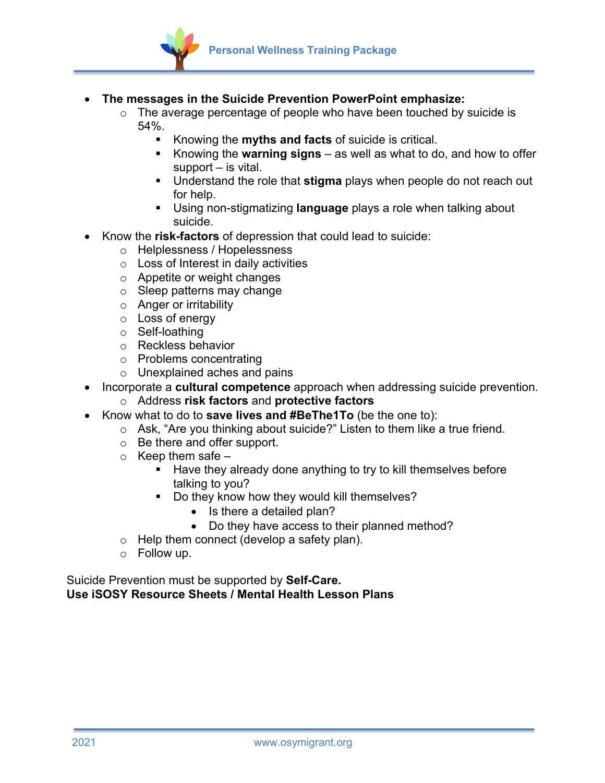

- **The messages in the Suicide Prevention PowerPoint emphasize:**
	- $\circ$  The average percentage of people who have been touched by suicide is 54%.
		- § Knowing the **myths and facts** of suicide is critical.
		- Knowing the **warning signs** as well as what to do, and how to offer support – is vital.
		- § Understand the role that **stigma** plays when people do not reach out for help.
		- § Using non-stigmatizing **language** plays a role when talking about suicide.
- Know the **risk-factors** of depression that could lead to suicide:
	- o Helplessness / Hopelessness
	- o Loss of Interest in daily activities
	- o Appetite or weight changes
	- o Sleep patterns may change
	- o Anger or irritability
	- o Loss of energy
	- o Self-loathing
	- o Reckless behavior
	- o Problems concentrating
	- o Unexplained aches and pains
- Incorporate a **cultural competence** approach when addressing suicide prevention.
	- o Address **risk factors** and **protective factors**
- Know what to do to **save lives and #BeThe1To** (be the one to):
	- o Ask, "Are you thinking about suicide?" Listen to them like a true friend.
	- o Be there and offer support.
	- $\circ$  Keep them safe
		- Have they already done anything to try to kill themselves before talking to you?
		- Do they know how they would kill themselves?
			- Is there a detailed plan?
			- Do they have access to their planned method?
	- o Help them connect (develop a safety plan).
	- o Follow up.

Suicide Prevention must be supported by **Self-Care. Use iSOSY Resource Sheets / Mental Health Lesson Plans**